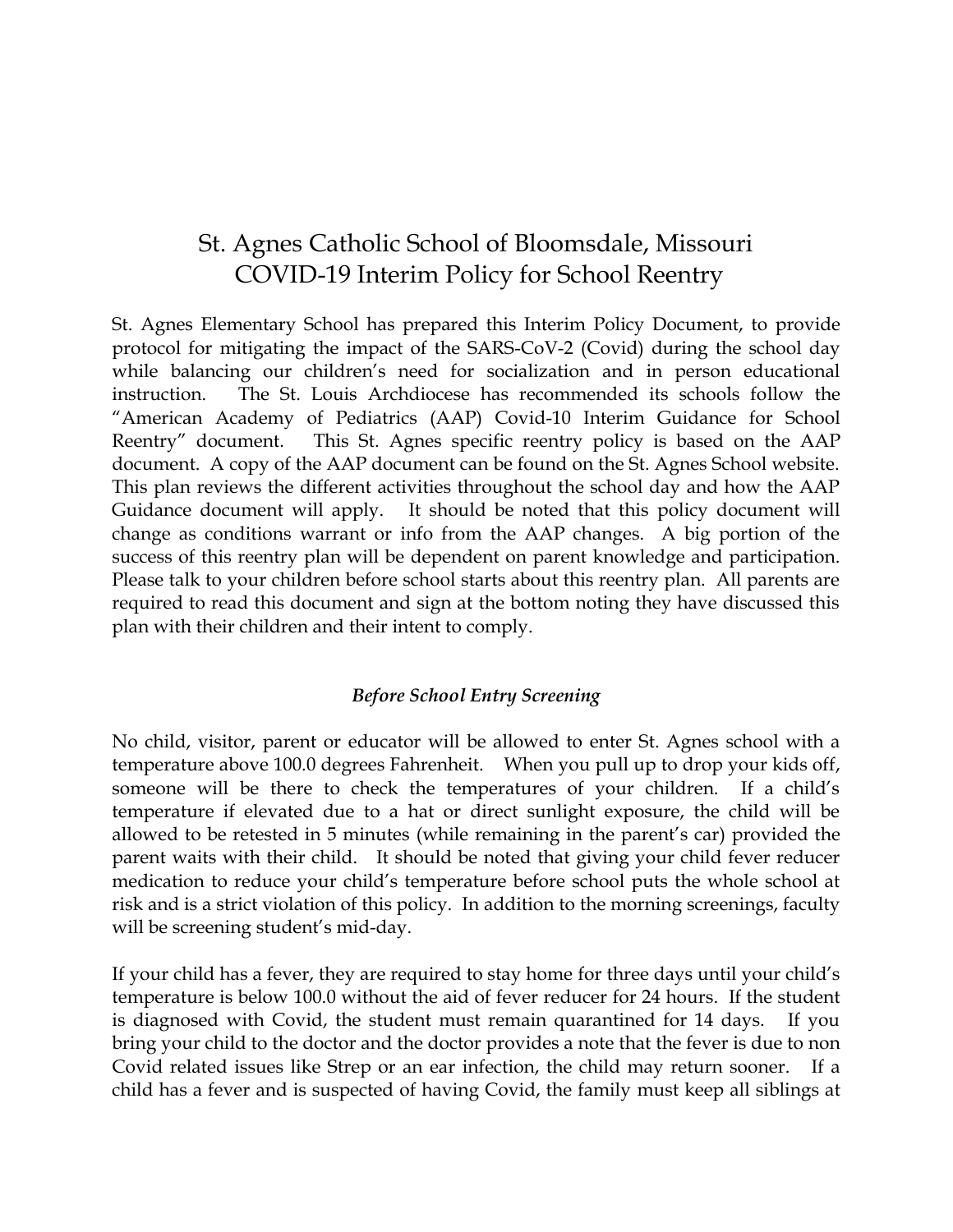# St. Agnes Catholic School of Bloomsdale, Missouri COVID-19 Interim Policy for School Reentry

St. Agnes Elementary School has prepared this Interim Policy Document, to provide protocol for mitigating the impact of the SARS-CoV-2 (Covid) during the school day while balancing our children's need for socialization and in person educational instruction. The St. Louis Archdiocese has recommended its schools follow the "American Academy of Pediatrics (AAP) Covid-10 Interim Guidance for School Reentry" document. This St. Agnes specific reentry policy is based on the AAP document. A copy of the AAP document can be found on the St. Agnes School website. This plan reviews the different activities throughout the school day and how the AAP Guidance document will apply. It should be noted that this policy document will change as conditions warrant or info from the AAP changes. A big portion of the success of this reentry plan will be dependent on parent knowledge and participation. Please talk to your children before school starts about this reentry plan. All parents are required to read this document and sign at the bottom noting they have discussed this plan with their children and their intent to comply.

#### *Before School Entry Screening*

No child, visitor, parent or educator will be allowed to enter St. Agnes school with a temperature above 100.0 degrees Fahrenheit. When you pull up to drop your kids off, someone will be there to check the temperatures of your children. If a child's temperature if elevated due to a hat or direct sunlight exposure, the child will be allowed to be retested in 5 minutes (while remaining in the parent's car) provided the parent waits with their child. It should be noted that giving your child fever reducer medication to reduce your child's temperature before school puts the whole school at risk and is a strict violation of this policy. In addition to the morning screenings, faculty will be screening student's mid-day.

If your child has a fever, they are required to stay home for three days until your child's temperature is below 100.0 without the aid of fever reducer for 24 hours. If the student is diagnosed with Covid, the student must remain quarantined for 14 days. If you bring your child to the doctor and the doctor provides a note that the fever is due to non Covid related issues like Strep or an ear infection, the child may return sooner. If a child has a fever and is suspected of having Covid, the family must keep all siblings at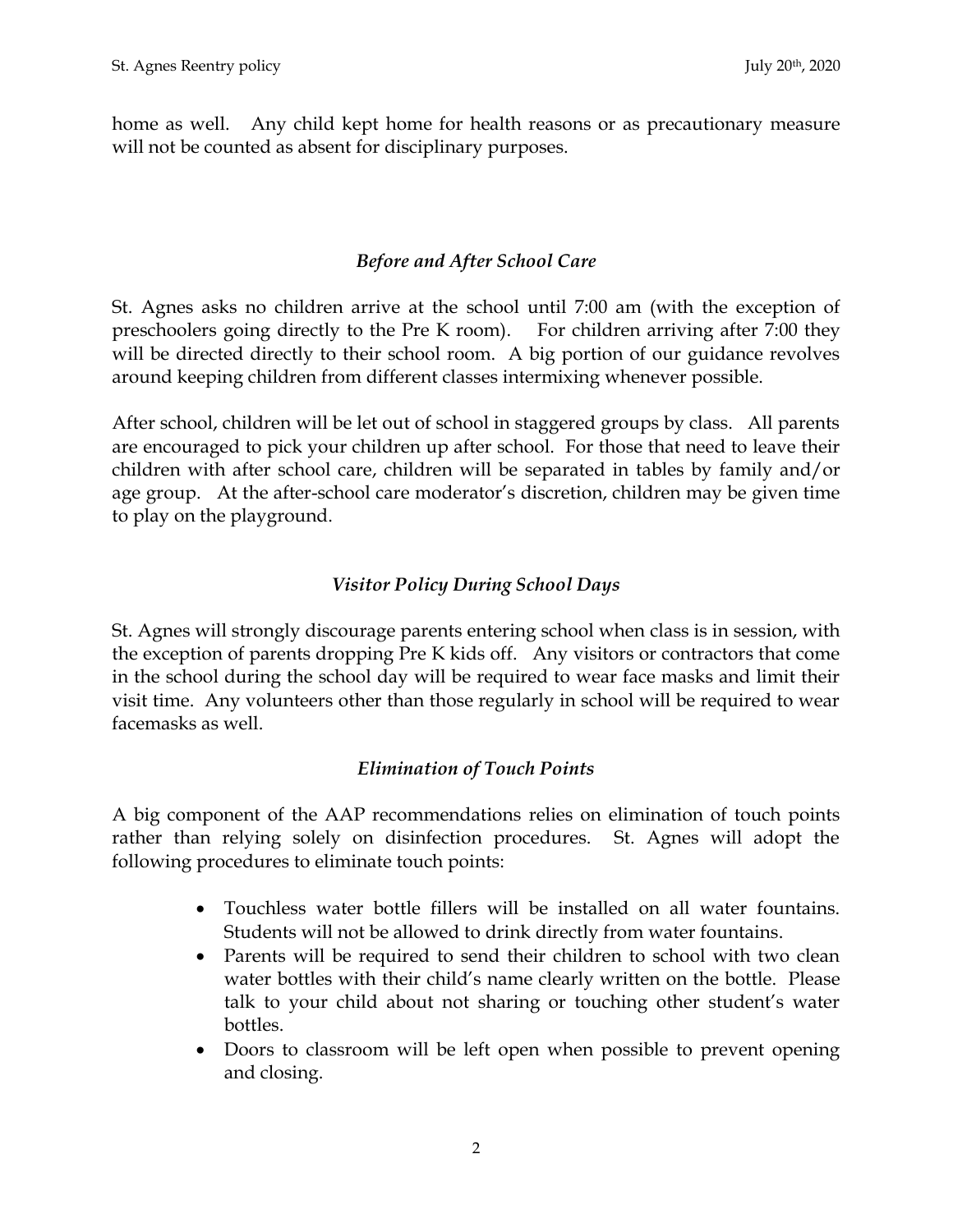home as well. Any child kept home for health reasons or as precautionary measure will not be counted as absent for disciplinary purposes.

#### *Before and After School Care*

St. Agnes asks no children arrive at the school until 7:00 am (with the exception of preschoolers going directly to the Pre K room). For children arriving after 7:00 they will be directed directly to their school room. A big portion of our guidance revolves around keeping children from different classes intermixing whenever possible.

After school, children will be let out of school in staggered groups by class. All parents are encouraged to pick your children up after school. For those that need to leave their children with after school care, children will be separated in tables by family and/or age group. At the after-school care moderator's discretion, children may be given time to play on the playground.

### *Visitor Policy During School Days*

St. Agnes will strongly discourage parents entering school when class is in session, with the exception of parents dropping Pre K kids off. Any visitors or contractors that come in the school during the school day will be required to wear face masks and limit their visit time. Any volunteers other than those regularly in school will be required to wear facemasks as well.

#### *Elimination of Touch Points*

A big component of the AAP recommendations relies on elimination of touch points rather than relying solely on disinfection procedures. St. Agnes will adopt the following procedures to eliminate touch points:

- Touchless water bottle fillers will be installed on all water fountains. Students will not be allowed to drink directly from water fountains.
- Parents will be required to send their children to school with two clean water bottles with their child's name clearly written on the bottle. Please talk to your child about not sharing or touching other student's water bottles.
- Doors to classroom will be left open when possible to prevent opening and closing.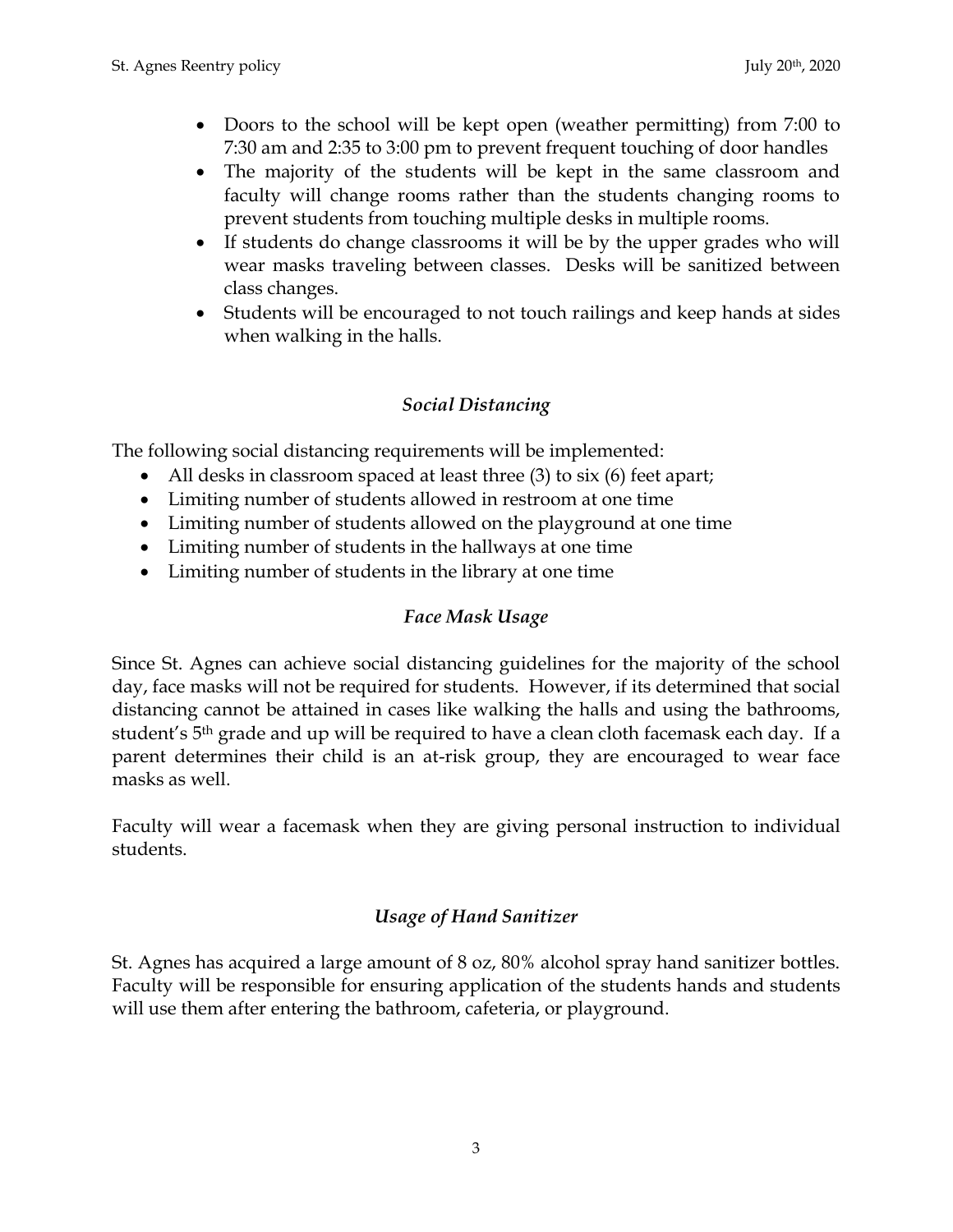- Doors to the school will be kept open (weather permitting) from 7:00 to 7:30 am and 2:35 to 3:00 pm to prevent frequent touching of door handles
- The majority of the students will be kept in the same classroom and faculty will change rooms rather than the students changing rooms to prevent students from touching multiple desks in multiple rooms.
- If students do change classrooms it will be by the upper grades who will wear masks traveling between classes. Desks will be sanitized between class changes.
- Students will be encouraged to not touch railings and keep hands at sides when walking in the halls.

#### *Social Distancing*

The following social distancing requirements will be implemented:

- All desks in classroom spaced at least three (3) to six (6) feet apart;
- Limiting number of students allowed in restroom at one time
- Limiting number of students allowed on the playground at one time
- Limiting number of students in the hallways at one time
- Limiting number of students in the library at one time

#### *Face Mask Usage*

Since St. Agnes can achieve social distancing guidelines for the majority of the school day, face masks will not be required for students. However, if its determined that social distancing cannot be attained in cases like walking the halls and using the bathrooms, student's 5th grade and up will be required to have a clean cloth facemask each day. If a parent determines their child is an at-risk group, they are encouraged to wear face masks as well.

Faculty will wear a facemask when they are giving personal instruction to individual students.

#### *Usage of Hand Sanitizer*

St. Agnes has acquired a large amount of 8 oz, 80% alcohol spray hand sanitizer bottles. Faculty will be responsible for ensuring application of the students hands and students will use them after entering the bathroom, cafeteria, or playground.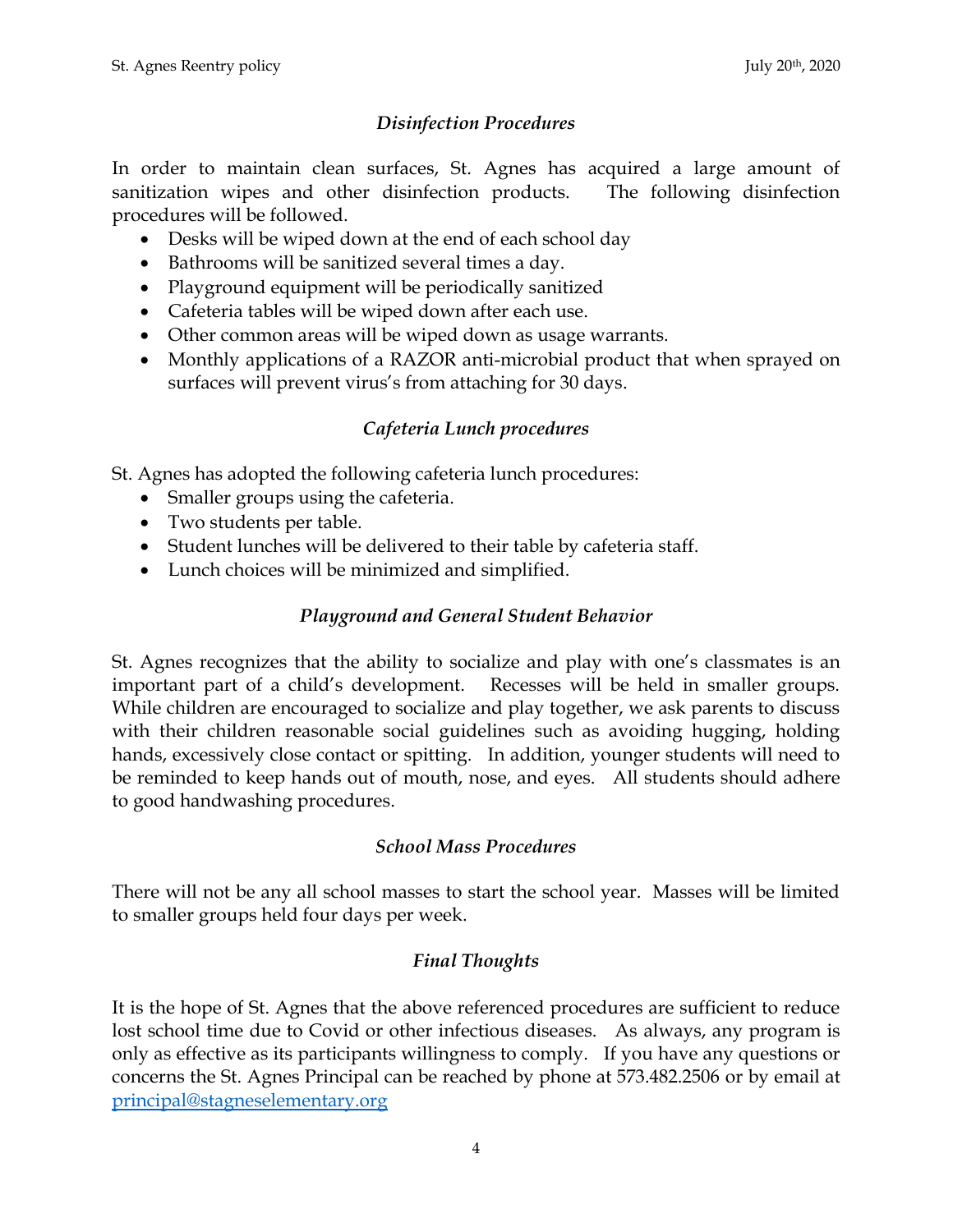### *Disinfection Procedures*

In order to maintain clean surfaces, St. Agnes has acquired a large amount of sanitization wipes and other disinfection products. The following disinfection procedures will be followed.

- Desks will be wiped down at the end of each school day
- Bathrooms will be sanitized several times a day.
- Playground equipment will be periodically sanitized
- Cafeteria tables will be wiped down after each use.
- Other common areas will be wiped down as usage warrants.
- Monthly applications of a RAZOR anti-microbial product that when sprayed on surfaces will prevent virus's from attaching for 30 days.

# *Cafeteria Lunch procedures*

St. Agnes has adopted the following cafeteria lunch procedures:

- Smaller groups using the cafeteria.
- Two students per table.
- Student lunches will be delivered to their table by cafeteria staff.
- Lunch choices will be minimized and simplified.

## *Playground and General Student Behavior*

St. Agnes recognizes that the ability to socialize and play with one's classmates is an important part of a child's development. Recesses will be held in smaller groups. While children are encouraged to socialize and play together, we ask parents to discuss with their children reasonable social guidelines such as avoiding hugging, holding hands, excessively close contact or spitting. In addition, younger students will need to be reminded to keep hands out of mouth, nose, and eyes. All students should adhere to good handwashing procedures.

### *School Mass Procedures*

There will not be any all school masses to start the school year. Masses will be limited to smaller groups held four days per week.

# *Final Thoughts*

It is the hope of St. Agnes that the above referenced procedures are sufficient to reduce lost school time due to Covid or other infectious diseases. As always, any program is only as effective as its participants willingness to comply. If you have any questions or concerns the St. Agnes Principal can be reached by phone at 573.482.2506 or by email at [principal@stagneselementary.org](mailto:principal@stagneselementary.org)